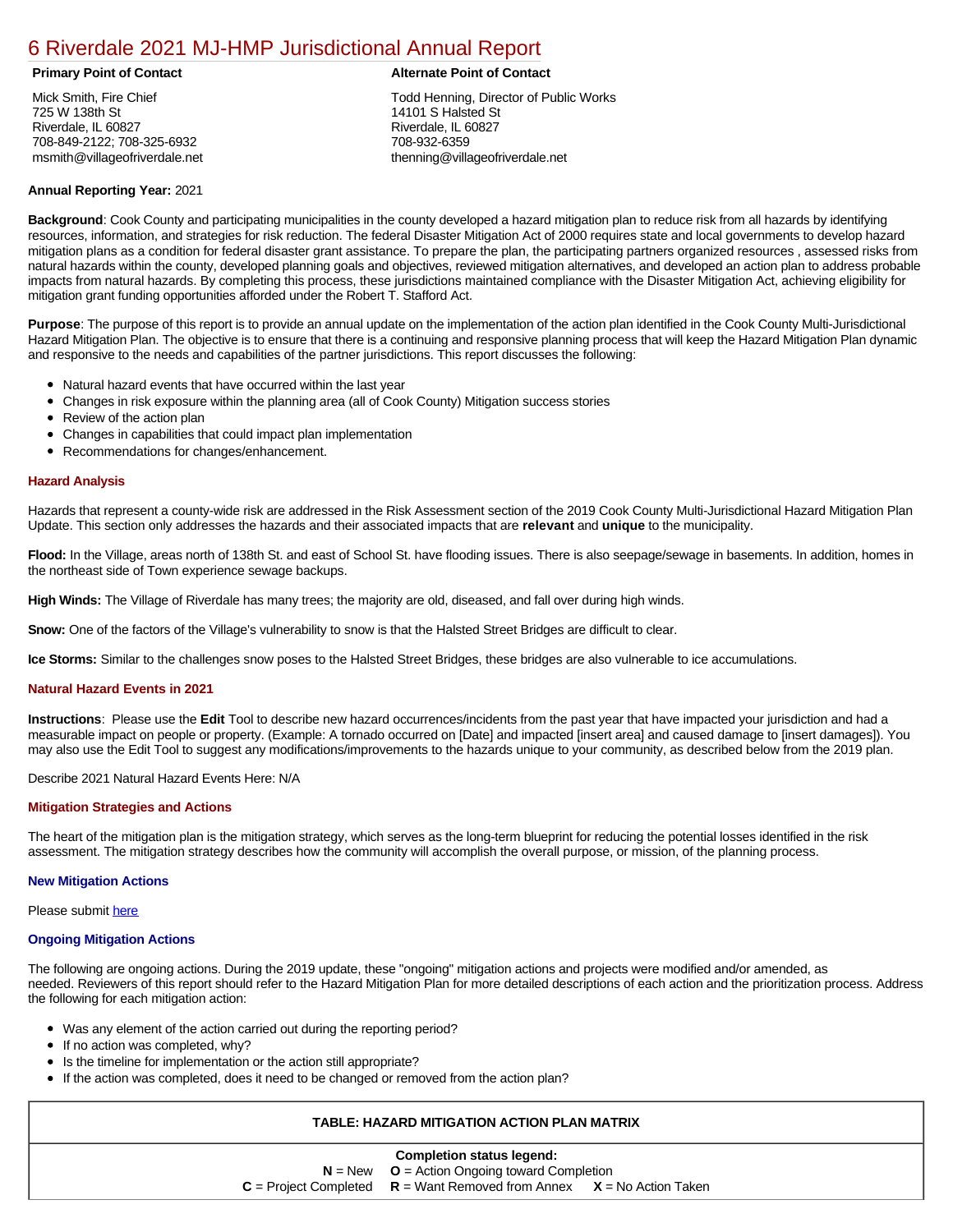# [6 Riverdale 2021 MJ-HMP Jurisdictional Annual Report](https://riverdale.isc-cemp.com/Cemp/Details?id=8322873)

Mick Smith, Fire Chief 725 W 138th St Riverdale, IL 60827 708-849-2122; 708-325-6932 msmith@villageofriverdale.net

## **Primary Point of Contact Alternate Point of Contact**

Todd Henning, Director of Public Works 14101 S Halsted St Riverdale, IL 60827 708-932-6359 thenning@villageofriverdale.net

# **Annual Reporting Year:** 2021

**Background**: Cook County and participating municipalities in the county developed a hazard mitigation plan to reduce risk from all hazards by identifying resources, information, and strategies for risk reduction. The federal Disaster Mitigation Act of 2000 requires state and local governments to develop hazard mitigation plans as a condition for federal disaster grant assistance. To prepare the plan, the participating partners organized resources , assessed risks from natural hazards within the county, developed planning goals and objectives, reviewed mitigation alternatives, and developed an action plan to address probable impacts from natural hazards. By completing this process, these jurisdictions maintained compliance with the Disaster Mitigation Act, achieving eligibility for mitigation grant funding opportunities afforded under the Robert T. Stafford Act.

**Purpose**: The purpose of this report is to provide an annual update on the implementation of the action plan identified in the Cook County Multi-Jurisdictional Hazard Mitigation Plan. The objective is to ensure that there is a continuing and responsive planning process that will keep the Hazard Mitigation Plan dynamic and responsive to the needs and capabilities of the partner jurisdictions. This report discusses the following:

- Natural hazard events that have occurred within the last year
- $\bullet$ Changes in risk exposure within the planning area (all of Cook County) Mitigation success stories
- Review of the action plan  $\bullet$
- $\bullet$ Changes in capabilities that could impact plan implementation
- Recommendations for changes/enhancement.  $\bullet$

## **Hazard Analysis**

Hazards that represent a county-wide risk are addressed in the Risk Assessment section of the 2019 Cook County Multi-Jurisdictional Hazard Mitigation Plan Update. This section only addresses the hazards and their associated impacts that are **relevant** and **unique** to the municipality.

Flood: In the Village, areas north of 138th St. and east of School St. have flooding issues. There is also seepage/sewage in basements. In addition, homes in the northeast side of Town experience sewage backups.

**High Winds:** The Village of Riverdale has many trees; the majority are old, diseased, and fall over during high winds.

**Snow:** One of the factors of the Village's vulnerability to snow is that the Halsted Street Bridges are difficult to clear.

**Ice Storms:** Similar to the challenges snow poses to the Halsted Street Bridges, these bridges are also vulnerable to ice accumulations.

#### **Natural Hazard Events in 2021**

**Instructions**: Please use the **Edit** Tool to describe new hazard occurrences/incidents from the past year that have impacted your jurisdiction and had a measurable impact on people or property. (Example: A tornado occurred on [Date] and impacted [insert area] and caused damage to [insert damages]). You may also use the Edit Tool to suggest any modifications/improvements to the hazards unique to your community, as described below from the 2019 plan.

#### Describe 2021 Natural Hazard Events Here: N/A

#### **Mitigation Strategies and Actions**

The heart of the mitigation plan is the mitigation strategy, which serves as the long-term blueprint for reducing the potential losses identified in the risk assessment. The mitigation strategy describes how the community will accomplish the overall purpose, or mission, of the planning process.

#### **New Mitigation Actions**

Please submit [here](https://integratedsolutions.wufoo.com/forms/mg21jvf0jn639o/)

#### **Ongoing Mitigation Actions**

The following are ongoing actions. During the 2019 update, these "ongoing" mitigation actions and projects were modified and/or amended, as needed. Reviewers of this report should refer to the Hazard Mitigation Plan for more detailed descriptions of each action and the prioritization process. Address the following for each mitigation action:

- Was any element of the action carried out during the reporting period?
- If no action was completed, why?
- Is the timeline for implementation or the action still appropriate?
- If the action was completed, does it need to be changed or removed from the action plan?

# **TABLE: HAZARD MITIGATION ACTION PLAN MATRIX**

| <b>Completion status legend:</b> |                                                                             |  |  |  |  |  |
|----------------------------------|-----------------------------------------------------------------------------|--|--|--|--|--|
|                                  | $N = New$ $Q =$ Action Ongoing toward Completion                            |  |  |  |  |  |
|                                  | $C =$ Project Completed $R =$ Want Removed from Annex $X =$ No Action Taken |  |  |  |  |  |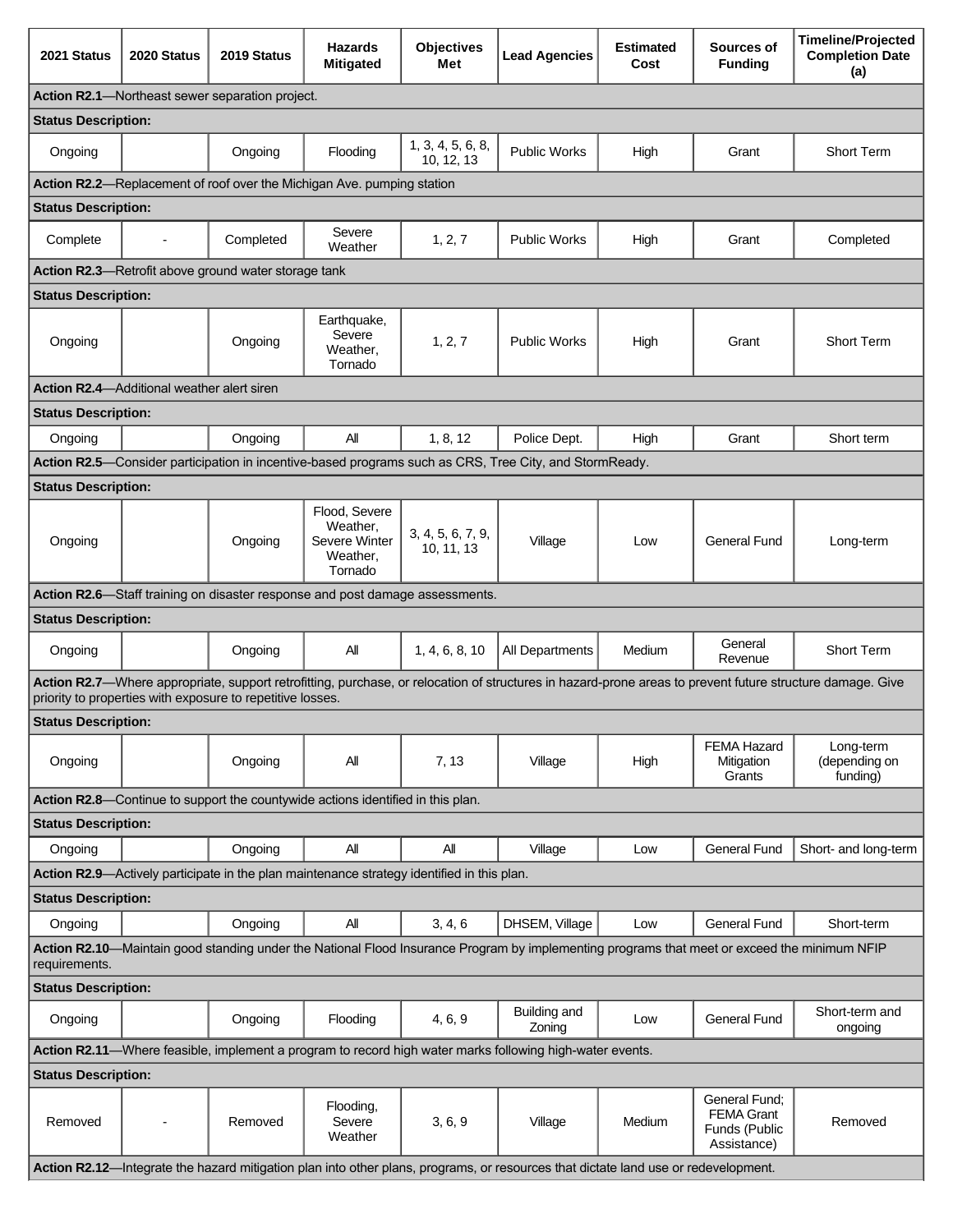| 2021 Status                                                                                                                                                   | 2020 Status    | 2019 Status                                                | <b>Hazards</b><br><b>Mitigated</b>                                                         | <b>Objectives</b><br>Met        | <b>Lead Agencies</b>                                                                                                               | <b>Estimated</b><br>Cost | Sources of<br><b>Funding</b>                                       | <b>Timeline/Projected</b><br><b>Completion Date</b><br>(a)                                                                                                |
|---------------------------------------------------------------------------------------------------------------------------------------------------------------|----------------|------------------------------------------------------------|--------------------------------------------------------------------------------------------|---------------------------------|------------------------------------------------------------------------------------------------------------------------------------|--------------------------|--------------------------------------------------------------------|-----------------------------------------------------------------------------------------------------------------------------------------------------------|
| <b>Action R2.1</b> —Northeast sewer separation project.                                                                                                       |                |                                                            |                                                                                            |                                 |                                                                                                                                    |                          |                                                                    |                                                                                                                                                           |
| <b>Status Description:</b>                                                                                                                                    |                |                                                            |                                                                                            |                                 |                                                                                                                                    |                          |                                                                    |                                                                                                                                                           |
| Ongoing                                                                                                                                                       |                | Ongoing                                                    | Flooding                                                                                   | 1, 3, 4, 5, 6, 8,<br>10, 12, 13 | <b>Public Works</b>                                                                                                                | High                     | Grant                                                              | <b>Short Term</b>                                                                                                                                         |
|                                                                                                                                                               |                |                                                            | Action R2.2-Replacement of roof over the Michigan Ave. pumping station                     |                                 |                                                                                                                                    |                          |                                                                    |                                                                                                                                                           |
| <b>Status Description:</b>                                                                                                                                    |                |                                                            |                                                                                            |                                 |                                                                                                                                    |                          |                                                                    |                                                                                                                                                           |
| Complete                                                                                                                                                      | $\blacksquare$ | Completed                                                  | Severe<br>Weather                                                                          | 1, 2, 7                         | <b>Public Works</b>                                                                                                                | High                     | Grant                                                              | Completed                                                                                                                                                 |
|                                                                                                                                                               |                | Action R2.3-Retrofit above ground water storage tank       |                                                                                            |                                 |                                                                                                                                    |                          |                                                                    |                                                                                                                                                           |
| <b>Status Description:</b>                                                                                                                                    |                |                                                            |                                                                                            |                                 |                                                                                                                                    |                          |                                                                    |                                                                                                                                                           |
| Ongoing                                                                                                                                                       |                | Ongoing                                                    | Earthquake,<br>Severe<br>Weather,<br>Tornado                                               | 1, 2, 7                         | <b>Public Works</b>                                                                                                                | High                     | Grant                                                              | Short Term                                                                                                                                                |
| <b>Action R2.4</b> —Additional weather alert siren                                                                                                            |                |                                                            |                                                                                            |                                 |                                                                                                                                    |                          |                                                                    |                                                                                                                                                           |
| <b>Status Description:</b>                                                                                                                                    |                |                                                            |                                                                                            |                                 |                                                                                                                                    |                          |                                                                    |                                                                                                                                                           |
| Ongoing                                                                                                                                                       |                | Ongoing                                                    | All                                                                                        | 1, 8, 12                        | Police Dept.                                                                                                                       | High                     | Grant                                                              | Short term                                                                                                                                                |
|                                                                                                                                                               |                |                                                            |                                                                                            |                                 | Action R2.5—Consider participation in incentive-based programs such as CRS, Tree City, and StormReady.                             |                          |                                                                    |                                                                                                                                                           |
| <b>Status Description:</b>                                                                                                                                    |                |                                                            |                                                                                            |                                 |                                                                                                                                    |                          |                                                                    |                                                                                                                                                           |
| Ongoing                                                                                                                                                       |                | Ongoing                                                    | Flood, Severe<br>Weather,<br>Severe Winter<br>Weather,<br>Tornado                          | 3, 4, 5, 6, 7, 9,<br>10, 11, 13 | Village                                                                                                                            | Low                      | <b>General Fund</b>                                                | Long-term                                                                                                                                                 |
|                                                                                                                                                               |                |                                                            | Action R2.6—Staff training on disaster response and post damage assessments.               |                                 |                                                                                                                                    |                          |                                                                    |                                                                                                                                                           |
| <b>Status Description:</b>                                                                                                                                    |                |                                                            |                                                                                            |                                 |                                                                                                                                    |                          |                                                                    |                                                                                                                                                           |
| Ongoing                                                                                                                                                       |                | Ongoing                                                    | All                                                                                        | 1, 4, 6, 8, 10                  | All Departments                                                                                                                    | Medium                   | General<br>Revenue                                                 | Short Term                                                                                                                                                |
|                                                                                                                                                               |                | priority to properties with exposure to repetitive losses. |                                                                                            |                                 |                                                                                                                                    |                          |                                                                    | Action R2.7-Where appropriate, support retrofitting, purchase, or relocation of structures in hazard-prone areas to prevent future structure damage. Give |
| <b>Status Description:</b>                                                                                                                                    |                |                                                            |                                                                                            |                                 |                                                                                                                                    |                          |                                                                    |                                                                                                                                                           |
| Ongoing                                                                                                                                                       |                | Ongoing                                                    | Αll                                                                                        | 7, 13                           | Village                                                                                                                            | High                     | <b>FEMA Hazard</b><br>Mitigation<br>Grants                         | Long-term<br>(depending on<br>funding)                                                                                                                    |
|                                                                                                                                                               |                |                                                            | Action R2.8-Continue to support the countywide actions identified in this plan.            |                                 |                                                                                                                                    |                          |                                                                    |                                                                                                                                                           |
| <b>Status Description:</b>                                                                                                                                    |                |                                                            |                                                                                            |                                 |                                                                                                                                    |                          |                                                                    |                                                                                                                                                           |
| Ongoing                                                                                                                                                       |                | Ongoing                                                    | All                                                                                        | All                             | Village                                                                                                                            | Low                      | <b>General Fund</b>                                                | Short- and long-term                                                                                                                                      |
|                                                                                                                                                               |                |                                                            | Action R2.9—Actively participate in the plan maintenance strategy identified in this plan. |                                 |                                                                                                                                    |                          |                                                                    |                                                                                                                                                           |
| <b>Status Description:</b>                                                                                                                                    |                |                                                            |                                                                                            |                                 |                                                                                                                                    |                          |                                                                    |                                                                                                                                                           |
| Ongoing                                                                                                                                                       |                | Ongoing                                                    | All                                                                                        | 3, 4, 6                         | DHSEM, Village                                                                                                                     | Low                      | <b>General Fund</b>                                                | Short-term                                                                                                                                                |
| Action R2.10—Maintain good standing under the National Flood Insurance Program by implementing programs that meet or exceed the minimum NFIP<br>requirements. |                |                                                            |                                                                                            |                                 |                                                                                                                                    |                          |                                                                    |                                                                                                                                                           |
| <b>Status Description:</b>                                                                                                                                    |                |                                                            |                                                                                            |                                 |                                                                                                                                    |                          |                                                                    |                                                                                                                                                           |
| Ongoing                                                                                                                                                       |                | Ongoing                                                    | Flooding                                                                                   | 4, 6, 9                         | Building and<br>Zoning                                                                                                             | Low                      | General Fund                                                       | Short-term and<br>ongoing                                                                                                                                 |
| Action R2.11—Where feasible, implement a program to record high water marks following high-water events.                                                      |                |                                                            |                                                                                            |                                 |                                                                                                                                    |                          |                                                                    |                                                                                                                                                           |
| <b>Status Description:</b>                                                                                                                                    |                |                                                            |                                                                                            |                                 |                                                                                                                                    |                          |                                                                    |                                                                                                                                                           |
| Removed                                                                                                                                                       |                | Removed                                                    | Flooding,<br>Severe<br>Weather                                                             | 3, 6, 9                         | Village                                                                                                                            | Medium                   | General Fund:<br><b>FEMA Grant</b><br>Funds (Public<br>Assistance) | Removed                                                                                                                                                   |
|                                                                                                                                                               |                |                                                            |                                                                                            |                                 | Action R2.12—Integrate the hazard mitigation plan into other plans, programs, or resources that dictate land use or redevelopment. |                          |                                                                    |                                                                                                                                                           |